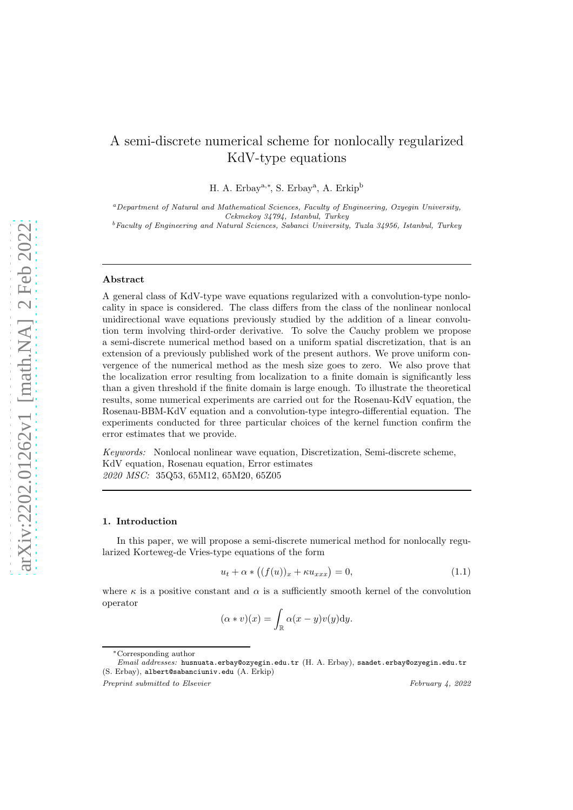# A semi-discrete numerical scheme for nonlocally regularized KdV-type equations

H. A. Erbay<sup>a,∗</sup>, S. Erbay<sup>a</sup>, A. Erkip<sup>b</sup>

<sup>a</sup>*Department of Natural and Mathematical Sciences, Faculty of Engineering, Ozyegin University, Cekmekoy 34794, Istanbul, Turkey* <sup>b</sup>*Faculty of Engineering and Natural Sciences, Sabanci University, Tuzla 34956, Istanbul, Turkey*

## Abstract

A general class of KdV-type wave equations regularized with a convolution-type nonlocality in space is considered. The class differs from the class of the nonlinear nonlocal unidirectional wave equations previously studied by the addition of a linear convolution term involving third-order derivative. To solve the Cauchy problem we propose a semi-discrete numerical method based on a uniform spatial discretization, that is an extension of a previously published work of the present authors. We prove uniform convergence of the numerical method as the mesh size goes to zero. We also prove that the localization error resulting from localization to a finite domain is significantly less than a given threshold if the finite domain is large enough. To illustrate the theoretical results, some numerical experiments are carried out for the Rosenau-KdV equation, the Rosenau-BBM-KdV equation and a convolution-type integro-differential equation. The experiments conducted for three particular choices of the kernel function confirm the error estimates that we provide.

Keywords: Nonlocal nonlinear wave equation, Discretization, Semi-discrete scheme, KdV equation, Rosenau equation, Error estimates 2020 MSC: 35Q53, 65M12, 65M20, 65Z05

#### 1. Introduction

In this paper, we will propose a semi-discrete numerical method for nonlocally regularized Korteweg-de Vries-type equations of the form

<span id="page-0-0"></span>
$$
u_t + \alpha * ((f(u))_x + \kappa u_{xxx}) = 0,
$$
\n(1.1)

where  $\kappa$  is a positive constant and  $\alpha$  is a sufficiently smooth kernel of the convolution operator

$$
(\alpha * v)(x) = \int_{\mathbb{R}} \alpha(x - y)v(y) \mathrm{d}y.
$$

<sup>∗</sup>Corresponding author

*Email addresses:* husnuata.erbay@ozyegin.edu.tr (H. A. Erbay), saadet.erbay@ozyegin.edu.tr (S. Erbay), albert@sabanciuniv.edu (A. Erkip)

*Preprint submitted to Elsevier February 4, 2022*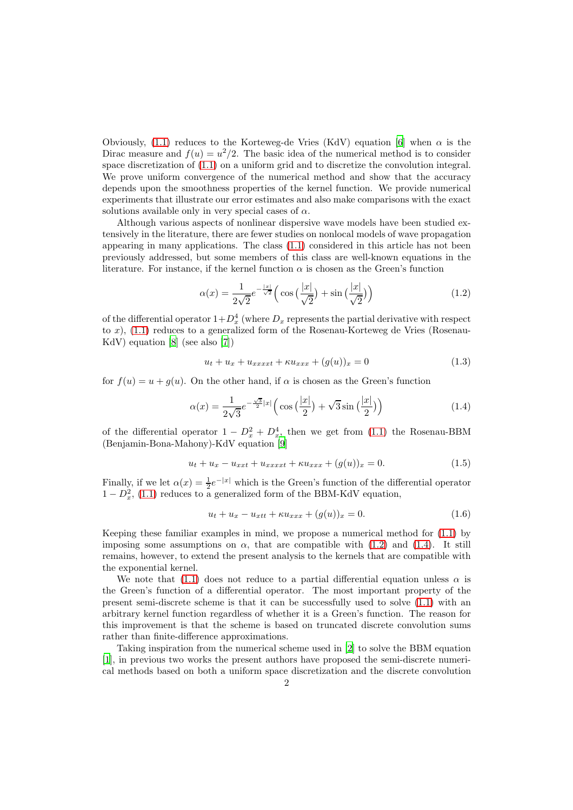Obviously, [\(1.1\)](#page-0-0) reduces to the Korteweg-de Vries (KdV) equation [\[6](#page-15-0)] when  $\alpha$  is the Dirac measure and  $f(u) = u^2/2$ . The basic idea of the numerical method is to consider space discretization of [\(1.1\)](#page-0-0) on a uniform grid and to discretize the convolution integral. We prove uniform convergence of the numerical method and show that the accuracy depends upon the smoothness properties of the kernel function. We provide numerical experiments that illustrate our error estimates and also make comparisons with the exact solutions available only in very special cases of  $\alpha$ .

Although various aspects of nonlinear dispersive wave models have been studied extensively in the literature, there are fewer studies on nonlocal models of wave propagation appearing in many applications. The class [\(1.1\)](#page-0-0) considered in this article has not been previously addressed, but some members of this class are well-known equations in the literature. For instance, if the kernel function  $\alpha$  is chosen as the Green's function

<span id="page-1-0"></span>
$$
\alpha(x) = \frac{1}{2\sqrt{2}} e^{-\frac{|x|}{\sqrt{2}}} \left( \cos\left(\frac{|x|}{\sqrt{2}}\right) + \sin\left(\frac{|x|}{\sqrt{2}}\right) \right) \tag{1.2}
$$

of the differential operator  $1+D_x^4$  (where  $D_x$  represents the partial derivative with respect to  $x$ ),  $(1.1)$  reduces to a generalized form of the Rosenau-Korteweg de Vries (Rosenau-KdV) equation [\[8\]](#page-15-1) (see also [\[7\]](#page-15-2))

<span id="page-1-2"></span><span id="page-1-1"></span>
$$
u_t + u_x + u_{xxxx} + \kappa u_{xxx} + (g(u))_x = 0 \tag{1.3}
$$

for  $f(u) = u + g(u)$ . On the other hand, if  $\alpha$  is chosen as the Green's function

$$
\alpha(x) = \frac{1}{2\sqrt{3}}e^{-\frac{\sqrt{3}}{2}|x|}\left(\cos\left(\frac{|x|}{2}\right) + \sqrt{3}\sin\left(\frac{|x|}{2}\right)\right) \tag{1.4}
$$

of the differential operator  $1 - D_x^2 + D_x^4$ , then we get from [\(1.1\)](#page-0-0) the Rosenau-BBM (Benjamin-Bona-Mahony)-KdV equation [\[9\]](#page-15-3)

<span id="page-1-3"></span>
$$
u_t + u_x - u_{xxt} + u_{xxxxt} + \kappa u_{xxx} + (g(u))_x = 0.
$$
 (1.5)

Finally, if we let  $\alpha(x) = \frac{1}{2}e^{-|x|}$  which is the Green's function of the differential operator  $1 - D_x^2$ , [\(1.1\)](#page-0-0) reduces to a generalized form of the BBM-KdV equation,

$$
u_t + u_x - u_{xtt} + \kappa u_{xxx} + (g(u))_x = 0.
$$
\n(1.6)

Keeping these familiar examples in mind, we propose a numerical method for [\(1.1\)](#page-0-0) by imposing some assumptions on  $\alpha$ , that are compatible with [\(1.2\)](#page-1-0) and [\(1.4\)](#page-1-1). It still remains, however, to extend the present analysis to the kernels that are compatible with the exponential kernel.

We note that [\(1.1\)](#page-0-0) does not reduce to a partial differential equation unless  $\alpha$  is the Green's function of a differential operator. The most important property of the present semi-discrete scheme is that it can be successfully used to solve [\(1.1\)](#page-0-0) with an arbitrary kernel function regardless of whether it is a Green's function. The reason for this improvement is that the scheme is based on truncated discrete convolution sums rather than finite-difference approximations.

Taking inspiration from the numerical scheme used in [\[2\]](#page-15-4) to solve the BBM equation [\[1](#page-15-5)], in previous two works the present authors have proposed the semi-discrete numerical methods based on both a uniform space discretization and the discrete convolution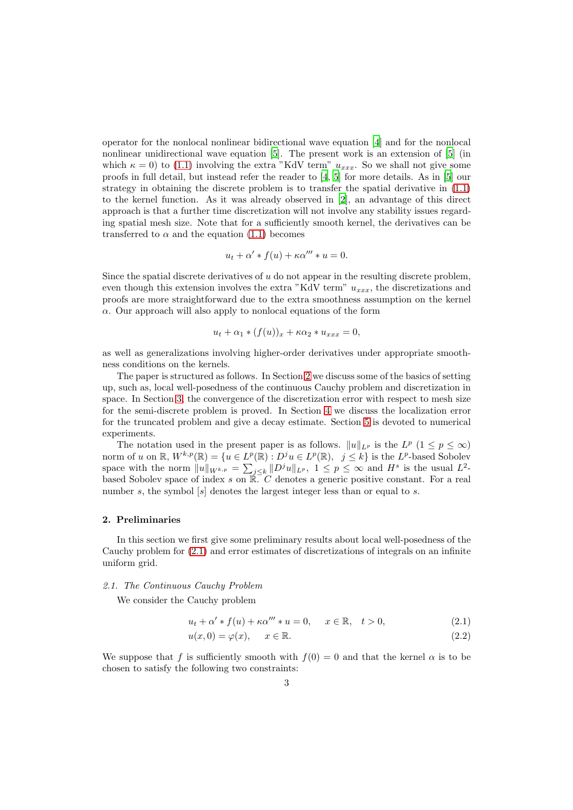operator for the nonlocal nonlinear bidirectional wave equation [\[4](#page-15-6)] and for the nonlocal nonlinear unidirectional wave equation [\[5](#page-15-7)]. The present work is an extension of [\[5](#page-15-7)] (in which  $\kappa = 0$ ) to [\(1.1\)](#page-0-0) involving the extra "KdV term"  $u_{xxx}$ . So we shall not give some proofs in full detail, but instead refer the reader to [\[4](#page-15-6), [5\]](#page-15-7) for more details. As in [\[5](#page-15-7)] our strategy in obtaining the discrete problem is to transfer the spatial derivative in [\(1.1\)](#page-0-0) to the kernel function. As it was already observed in [\[2\]](#page-15-4), an advantage of this direct approach is that a further time discretization will not involve any stability issues regarding spatial mesh size. Note that for a sufficiently smooth kernel, the derivatives can be transferred to  $\alpha$  and the equation [\(1.1\)](#page-0-0) becomes

$$
u_t + \alpha' * f(u) + \kappa \alpha''' * u = 0.
$$

Since the spatial discrete derivatives of  $u$  do not appear in the resulting discrete problem, even though this extension involves the extra "KdV term"  $u_{xxx}$ , the discretizations and proofs are more straightforward due to the extra smoothness assumption on the kernel  $\alpha$ . Our approach will also apply to nonlocal equations of the form

$$
u_t + \alpha_1 * (f(u))_x + \kappa \alpha_2 * u_{xxx} = 0,
$$

as well as generalizations involving higher-order derivatives under appropriate smoothness conditions on the kernels.

The paper is structured as follows. In Section [2](#page-2-0) we discuss some of the basics of setting up, such as, local well-posedness of the continuous Cauchy problem and discretization in space. In Section [3,](#page-4-0) the convergence of the discretization error with respect to mesh size for the semi-discrete problem is proved. In Section [4](#page-7-0) we discuss the localization error for the truncated problem and give a decay estimate. Section [5](#page-9-0) is devoted to numerical experiments.

The notation used in the present paper is as follows.  $||u||_{L^p}$  is the  $L^p$   $(1 \leq p \leq \infty)$ norm of u on  $\mathbb{R}$ ,  $W^{k,p}(\mathbb{R}) = \{u \in L^p(\mathbb{R}) : D^j u \in L^p(\mathbb{R}), \ j \leq k\}$  is the  $L^p$ -based Sobolev space with the norm  $||u||_{W^{k,p}} = \sum_{j \leq k} ||D^j u||_{L^p}$ ,  $1 \leq p \leq \infty$  and  $H^s$  is the usual  $L^2$ . based Sobolev space of index s on  $\mathbb{R} \cdot C$  denotes a generic positive constant. For a real number s, the symbol  $[s]$  denotes the largest integer less than or equal to s.

## <span id="page-2-0"></span>2. Preliminaries

In this section we first give some preliminary results about local well-posedness of the Cauchy problem for [\(2.1\)](#page-2-1) and error estimates of discretizations of integrals on an infinite uniform grid.

## 2.1. The Continuous Cauchy Problem

We consider the Cauchy problem

$$
u_t + \alpha' * f(u) + \kappa \alpha''' * u = 0, \quad x \in \mathbb{R}, \quad t > 0,
$$
\n
$$
(2.1)
$$

<span id="page-2-2"></span><span id="page-2-1"></span>
$$
u(x,0) = \varphi(x), \quad x \in \mathbb{R}.\tag{2.2}
$$

We suppose that f is sufficiently smooth with  $f(0) = 0$  and that the kernel  $\alpha$  is to be chosen to satisfy the following two constraints: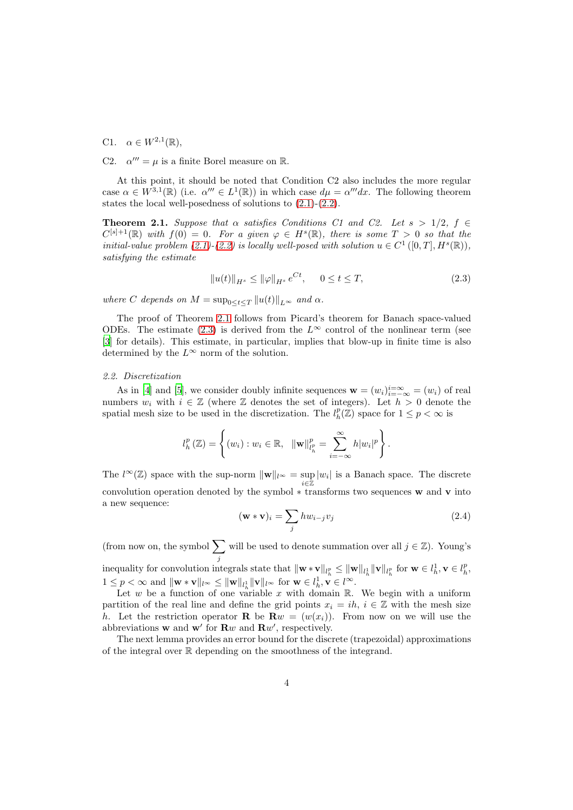C1.  $\alpha \in W^{2,1}(\mathbb{R}),$ 

C2.  $\alpha''' = \mu$  is a finite Borel measure on R.

At this point, it should be noted that Condition C2 also includes the more regular case  $\alpha \in W^{3,1}(\mathbb{R})$  (i.e.  $\alpha''' \in L^1(\mathbb{R})$ ) in which case  $d\mu = \alpha''' dx$ . The following theorem states the local well-posedness of solutions to [\(2.1\)](#page-2-1)-[\(2.2\)](#page-2-2).

<span id="page-3-0"></span>**Theorem 2.1.** Suppose that  $\alpha$  satisfies Conditions C1 and C2. Let  $s > 1/2$ ,  $f \in$  $C^{[s]+1}(\mathbb{R})$  with  $f(0) = 0$ . For a given  $\varphi \in H^s(\mathbb{R})$ , there is some  $T > 0$  so that the initial-value problem  $(2.1)-(2.2)$  $(2.1)-(2.2)$  is locally well-posed with solution  $u \in C^1([0,T], H^s(\mathbb{R}))$ , satisfying the estimate

<span id="page-3-1"></span>
$$
||u(t)||_{H^s} \le ||\varphi||_{H^s} e^{Ct}, \quad 0 \le t \le T,
$$
\n(2.3)

where C depends on  $M = \sup_{0 \leq t \leq T} ||u(t)||_{L^{\infty}}$  and  $\alpha$ .

The proof of Theorem [2.1](#page-3-0) follows from Picard's theorem for Banach space-valued ODEs. The estimate [\(2.3\)](#page-3-1) is derived from the  $L^{\infty}$  control of the nonlinear term (see [\[3](#page-15-8)] for details). This estimate, in particular, implies that blow-up in finite time is also determined by the  $L^{\infty}$  norm of the solution.

# 2.2. Discretization

As in [\[4\]](#page-15-6) and [\[5\]](#page-15-7), we consider doubly infinite sequences  $\mathbf{w} = (w_i)_{i=-\infty}^{i=\infty} = (w_i)$  of real numbers  $w_i$  with  $i \in \mathbb{Z}$  (where  $\mathbb Z$  denotes the set of integers). Let  $h > 0$  denote the spatial mesh size to be used in the discretization. The  $l_h^p(\mathbb{Z})$  space for  $1 \leq p < \infty$  is

$$
l_h^p(\mathbb{Z}) = \left\{ (w_i) : w_i \in \mathbb{R}, \ \|\mathbf{w}\|_{l_h^p}^p = \sum_{i=-\infty}^{\infty} h|w_i|^p \right\}.
$$

The  $l^{\infty}(\mathbb{Z})$  space with the sup-norm  $\|\mathbf{w}\|_{l^{\infty}} = \sup_{i \in \mathbb{Z}} |w_i|$  is a Banach space. The discrete convolution operation denoted by the symbol ∗ transforms two sequences w and v into a new sequence:

<span id="page-3-2"></span>
$$
(\mathbf{w} * \mathbf{v})_i = \sum_j h w_{i-j} v_j \tag{2.4}
$$

(from now on, the symbol  $\sum$ will be used to denote summation over all  $j \in \mathbb{Z}$ ). Young's

inequality for convolution integrals state that  $\|\mathbf{w}*\mathbf{v}\|_{l_h^p} \leq \|\mathbf{w}\|_{l_h^1} \|\mathbf{v}\|_{l_h^p}$  for  $\mathbf{w} \in l_h^1, \mathbf{v} \in l_h^p$ ,  $1 \leq p < \infty$  and  $\|\mathbf{w} * \mathbf{v}\|_{l^{\infty}} \leq \|\mathbf{w}\|_{l^1_h} \|\mathbf{v}\|_{l^{\infty}}$  for  $\mathbf{w} \in l^1_h, \mathbf{v} \in l^{\infty}$ .

Let w be a function of one variable x with domain R. We begin with a uniform partition of the real line and define the grid points  $x_i = ih$ ,  $i \in \mathbb{Z}$  with the mesh size h. Let the restriction operator **R** be  $\mathbf{R}w = (w(x_i))$ . From now on we will use the abbreviations **w** and **w'** for  $\mathbf{R}w$  and  $\mathbf{R}w'$ , respectively.

The next lemma provides an error bound for the discrete (trapezoidal) approximations of the integral over R depending on the smoothness of the integrand.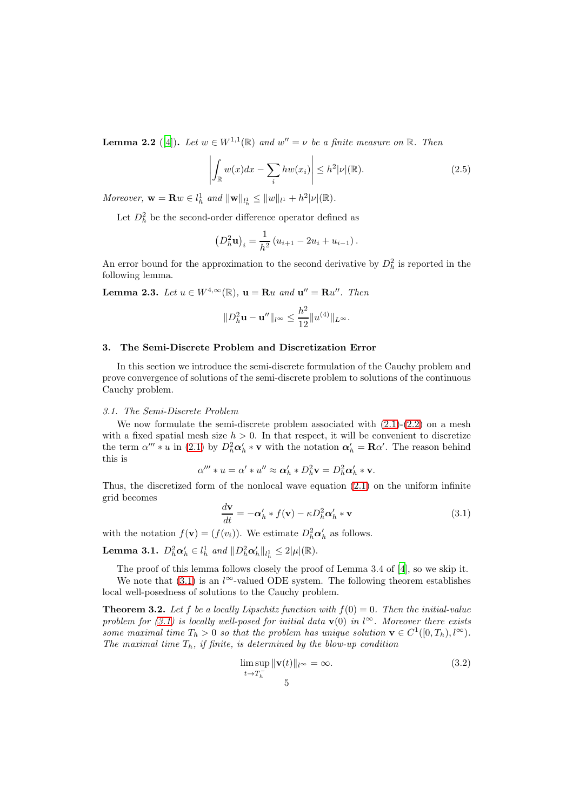<span id="page-4-2"></span>**Lemma 2.2** ([\[4](#page-15-6)]). Let  $w \in W^{1,1}(\mathbb{R})$  and  $w'' = \nu$  be a finite measure on  $\mathbb{R}$ . Then

$$
\left| \int_{\mathbb{R}} w(x) dx - \sum_{i} h w(x_{i}) \right| \leq h^{2} |\nu|(\mathbb{R}). \tag{2.5}
$$

Moreover,  $\mathbf{w} = \mathbf{R} w \in l_h^1$  and  $\|\mathbf{w}\|_{l_h^1} \leq \|w\|_{l^1} + h^2 |\nu|(\mathbb{R})$ .

Let  $D_h^2$  be the second-order difference operator defined as

$$
(D_h^2 \mathbf{u})_i = \frac{1}{h^2} (u_{i+1} - 2u_i + u_{i-1}).
$$

An error bound for the approximation to the second derivative by  $D<sub>h</sub><sup>2</sup>$  is reported in the following lemma.

<span id="page-4-3"></span>**Lemma 2.3.** Let  $u \in W^{4,\infty}(\mathbb{R})$ ,  $\mathbf{u} = \mathbf{R}u$  and  $\mathbf{u}'' = \mathbf{R}u''$ . Then

$$
||D_h^2 \mathbf{u} - \mathbf{u}''||_{l^{\infty}} \le \frac{h^2}{12} ||u^{(4)}||_{L^{\infty}}.
$$

#### <span id="page-4-0"></span>3. The Semi-Discrete Problem and Discretization Error

In this section we introduce the semi-discrete formulation of the Cauchy problem and prove convergence of solutions of the semi-discrete problem to solutions of the continuous Cauchy problem.

## 3.1. The Semi-Discrete Problem

We now formulate the semi-discrete problem associated with  $(2.1)-(2.2)$  $(2.1)-(2.2)$  on a mesh with a fixed spatial mesh size  $h > 0$ . In that respect, it will be convenient to discretize the term  $\alpha''' * u$  in [\(2.1\)](#page-2-1) by  $D_h^2 \alpha'_h * v$  with the notation  $\alpha'_h = \mathbf{R}\alpha'$ . The reason behind this is

<span id="page-4-1"></span>
$$
\alpha''' * u = \alpha' * u'' \approx \alpha'_h * D_h^2 \mathbf{v} = D_h^2 \alpha'_h * \mathbf{v}.
$$

Thus, the discretized form of the nonlocal wave equation [\(2.1\)](#page-2-1) on the uniform infinite grid becomes

$$
\frac{d\mathbf{v}}{dt} = -\alpha'_h * f(\mathbf{v}) - \kappa D_h^2 \alpha'_h * \mathbf{v}
$$
\n(3.1)

with the notation  $f(\mathbf{v}) = (f(v_i))$ . We estimate  $D_h^2 \alpha'_h$  as follows.

<span id="page-4-4"></span>Lemma 3.1.  $D_h^2 \alpha'_h \in l_h^1$  and  $||D_h^2 \alpha'_h||_{l_h^1} \leq 2|\mu|(\mathbb{R})$ .

The proof of this lemma follows closely the proof of Lemma 3.4 of [\[4\]](#page-15-6), so we skip it.

We note that [\(3.1\)](#page-4-1) is an  $l^{\infty}$ -valued ODE system. The following theorem establishes local well-posedness of solutions to the Cauchy problem.

**Theorem 3.2.** Let f be a locally Lipschitz function with  $f(0) = 0$ . Then the initial-value problem for [\(3.1\)](#page-4-1) is locally well-posed for initial data  $\mathbf{v}(0)$  in l<sup>∞</sup>. Moreover there exists some maximal time  $T_h > 0$  so that the problem has unique solution  $\mathbf{v} \in C^1([0, T_h), l^{\infty})$ . The maximal time  $T_h$ , if finite, is determined by the blow-up condition

<span id="page-4-5"></span>
$$
\limsup_{t \to T_h^-} \|\mathbf{v}(t)\|_{l^\infty} = \infty. \tag{3.2}
$$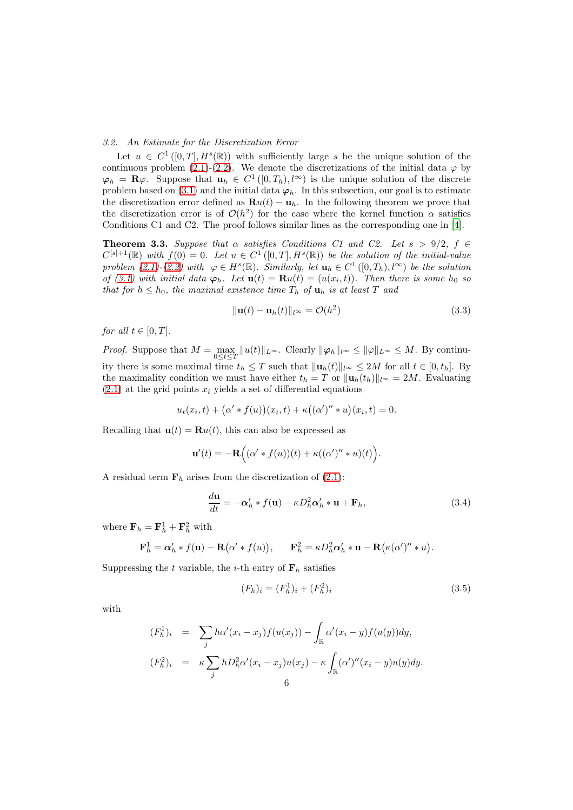#### 3.2. An Estimate for the Discretization Error

Let  $u \in C^1([0,T], H^s(\mathbb{R}))$  with sufficiently large s be the unique solution of the continuous problem [\(2.1\)](#page-2-1)-[\(2.2\)](#page-2-2). We denote the discretizations of the initial data  $\varphi$  by  $\varphi_h = \mathbf{R}\varphi$ . Suppose that  $\mathbf{u}_h \in C^1([0,T_h), l^{\infty})$  is the unique solution of the discrete problem based on [\(3.1\)](#page-4-1) and the initial data  $\varphi_h$ . In this subsection, our goal is to estimate the discretization error defined as  $\mathbf{R}u(t) - \mathbf{u}_h$ . In the following theorem we prove that the discretization error is of  $\mathcal{O}(h^2)$  for the case where the kernel function  $\alpha$  satisfies Conditions C1 and C2. The proof follows similar lines as the corresponding one in [\[4\]](#page-15-6).

<span id="page-5-2"></span>**Theorem 3.3.** Suppose that  $\alpha$  satisfies Conditions C1 and C2. Let  $s > 9/2$ ,  $f \in$  $C^{[s]+1}(\mathbb{R})$  with  $f(0) = 0$ . Let  $u \in C^1([0,T], H^s(\mathbb{R}))$  be the solution of the initial-value problem  $(2.1)-(2.2)$  $(2.1)-(2.2)$  with  $\varphi \in H^s(\mathbb{R})$ . Similarly, let  $\mathbf{u}_h \in C^1([0,T_h), l^{\infty})$  be the solution of [\(3.1\)](#page-4-1) with initial data  $\varphi_h$ . Let  $\mathbf{u}(t) = \mathbf{R}u(t) = (u(x_i, t))$ . Then there is some  $h_0$  so that for  $h \leq h_0$ , the maximal existence time  $T_h$  of  $\mathbf{u}_h$  is at least T and

<span id="page-5-1"></span>
$$
\|\mathbf{u}(t) - \mathbf{u}_h(t)\|_{l^\infty} = \mathcal{O}(h^2)
$$
\n(3.3)

for all  $t \in [0, T]$ .

*Proof.* Suppose that  $M = \max_{0 \le t \le T} ||u(t)||_{L^{\infty}}$ . Clearly  $||\varphi_h||_{l^{\infty}} \le ||\varphi||_{L^{\infty}} \le M$ . By continuity there is some maximal time  $t_h \leq T$  such that  $\|\mathbf{u}_h(t)\|_{l^{\infty}} \leq 2M$  for all  $t \in [0, t_h]$ . By the maximality condition we must have either  $t_h = T$  or  $\|\mathbf{u}_h(t_h)\|_{l^{\infty}} = 2M$ . Evaluating  $(2.1)$  at the grid points  $x_i$  yields a set of differential equations

$$
u_t(x_i, t) + (\alpha' * f(u))(x_i, t) + \kappa((\alpha')'' * u)(x_i, t) = 0.
$$

Recalling that  $\mathbf{u}(t) = \mathbf{R}u(t)$ , this can also be expressed as

$$
\mathbf{u}'(t) = -\mathbf{R} ((\alpha' * f(u))(t) + \kappa((\alpha')'' * u)(t)).
$$

A residual term  $\mathbf{F}_h$  arises from the discretization of [\(2.1\)](#page-2-1):

<span id="page-5-0"></span>
$$
\frac{d\mathbf{u}}{dt} = -\alpha'_h * f(\mathbf{u}) - \kappa D_h^2 \alpha'_h * \mathbf{u} + \mathbf{F}_h,
$$
\n(3.4)

where  $\mathbf{F}_h = \mathbf{F}_h^1 + \mathbf{F}_h^2$  with

$$
\mathbf{F}_h^1 = \alpha'_h * f(\mathbf{u}) - \mathbf{R}(\alpha' * f(u)), \qquad \mathbf{F}_h^2 = \kappa D_h^2 \alpha'_h * \mathbf{u} - \mathbf{R}(\kappa(\alpha')'' * u).
$$

Suppressing the t variable, the i-th entry of  $F_h$  satisfies

$$
(F_h)_i = (F_h^1)_i + (F_h^2)_i \tag{3.5}
$$

with

$$
(F_h^1)_i = \sum_j h \alpha'(x_i - x_j) f(u(x_j)) - \int_{\mathbb{R}} \alpha'(x_i - y) f(u(y)) dy,
$$
  

$$
(F_h^2)_i = \kappa \sum_j h D_h^2 \alpha'(x_i - x_j) u(x_j) - \kappa \int_{\mathbb{R}} (\alpha')''(x_i - y) u(y) dy.
$$
6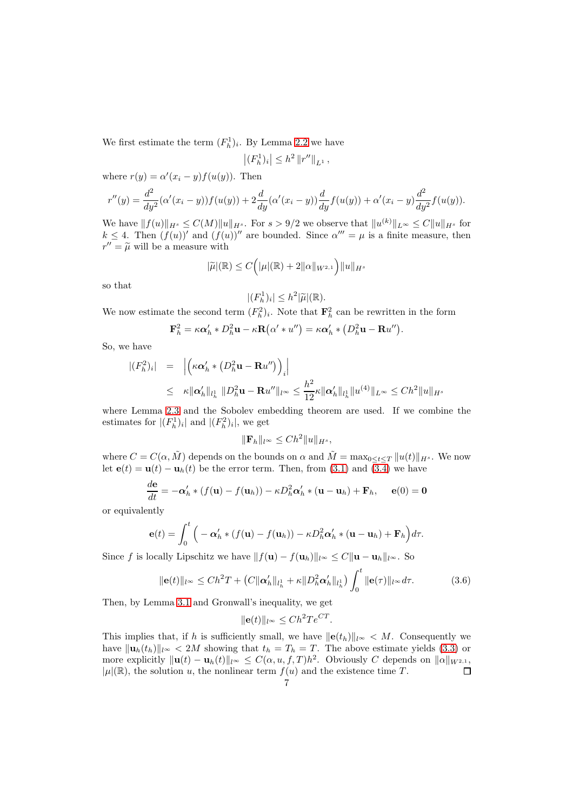We first estimate the term  $(F_h^1)_i$ . By Lemma [2.2](#page-4-2) we have

$$
\left| (F_h^1)_i \right| \leq h^2 \left\| r'' \right\|_{L^1},
$$

where  $r(y) = \alpha'(x_i - y) f(u(y))$ . Then

$$
r''(y) = \frac{d^2}{dy^2}(\alpha'(x_i - y))f(u(y)) + 2\frac{d}{dy}(\alpha'(x_i - y))\frac{d}{dy}f(u(y)) + \alpha'(x_i - y)\frac{d^2}{dy^2}f(u(y)).
$$

We have  $|| f(u)||_{H^s} \leq C(M) ||u||_{H^s}$ . For  $s > 9/2$  we observe that  $||u^{(k)}||_{L^{\infty}} \leq C ||u||_{H^s}$  for  $k \leq 4$ . Then  $(f(u))'$  and  $(f(u))''$  are bounded. Since  $\alpha''' = \mu$  is a finite measure, then  $r'' = \tilde{\mu}$  will be a measure with

$$
|\widetilde{\mu}|(\mathbb{R}) \leq C(|\mu|(\mathbb{R}) + 2||\alpha||_{W^{2,1}}) ||u||_{H^s}
$$

so that

$$
|(F_h^1)_i| \leq h^2 |\widetilde{\mu}|(\mathbb{R}).
$$

We now estimate the second term  $(F_h^2)_i$ . Note that  $\mathbf{F}_h^2$  can be rewritten in the form

$$
\mathbf{F}_h^2 = \kappa \alpha'_h * D_h^2 \mathbf{u} - \kappa \mathbf{R} (\alpha' * u'') = \kappa \alpha'_h * (D_h^2 \mathbf{u} - \mathbf{R} u'').
$$

So, we have

$$
|(F_h^2)_i| = |(\kappa \alpha_h' * (D_h^2 \mathbf{u} - \mathbf{R} u''))_i|
$$
  
\n
$$
\leq \kappa ||\alpha_h'||_{l_h^1} ||D_h^2 \mathbf{u} - \mathbf{R} u''||_{l^{\infty}} \leq \frac{h^2}{12} \kappa ||\alpha_h'||_{l_h^1} ||u^{(4)}||_{L^{\infty}} \leq Ch^2 ||u||_{H^s}
$$

where Lemma [2.3](#page-4-3) and the Sobolev embedding theorem are used. If we combine the estimates for  $|(F_h^1)_i|$  and  $|(F_h^2)_i|$ , we get

$$
\|\mathbf{F}_h\|_{l^\infty} \le Ch^2 \|u\|_{H^s},
$$

where  $C = C(\alpha, \tilde{M})$  depends on the bounds on  $\alpha$  and  $\tilde{M} = \max_{0 \leq t \leq T} ||u(t)||_{H^s}$ . We now let  $\mathbf{e}(t) = \mathbf{u}(t) - \mathbf{u}_h(t)$  be the error term. Then, from [\(3.1\)](#page-4-1) and  $(3.4)$  we have

$$
\frac{d\mathbf{e}}{dt} = -\boldsymbol{\alpha}'_h * (f(\mathbf{u}) - f(\mathbf{u}_h)) - \kappa D_h^2 \boldsymbol{\alpha}'_h * (\mathbf{u} - \mathbf{u}_h) + \mathbf{F}_h, \quad \mathbf{e}(0) = \mathbf{0}
$$

or equivalently

$$
\mathbf{e}(t) = \int_0^t \Big( -\boldsymbol{\alpha}'_h \ast (f(\mathbf{u}) - f(\mathbf{u}_h)) - \kappa D_h^2 \boldsymbol{\alpha}'_h \ast (\mathbf{u} - \mathbf{u}_h) + \mathbf{F}_h \Big) d\tau.
$$

Since f is locally Lipschitz we have  $|| f(u) - f(u_h) ||_{l^{\infty}} \leq C ||u - u_h||_{l^{\infty}}$ . So

$$
\|\mathbf{e}(t)\|_{l^{\infty}} \le Ch^2 T + \left(C\|\alpha_h'\|_{l^1_h} + \kappa \|D_h^2 \alpha_h'\|_{l^1_h}\right) \int_0^t \|\mathbf{e}(\tau)\|_{l^{\infty}} d\tau. \tag{3.6}
$$

Then, by Lemma [3.1](#page-4-4) and Gronwall's inequality, we get

$$
\|\mathbf{e}(t)\|_{l^{\infty}} \le Ch^2 T e^{CT}.
$$

This implies that, if h is sufficiently small, we have  $\|\mathbf{e}(t_h)\|_{l^{\infty}} < M$ . Consequently we have  $\|\mathbf{u}_h(t_h)\|_{l^{\infty}} < 2M$  showing that  $t_h = T_h = T$ . The above estimate yields [\(3.3\)](#page-5-1) or more explicitly  $\|\mathbf{u}(t) - \mathbf{u}_h(t)\|_{l^{\infty}} \leq C(\alpha, u, f, T)h^2$ . Obviously C depends on  $\|\alpha\|_{W^{2,1}}$ ,  $|\mu|(\mathbb{R})$ , the solution u, the nonlinear term  $f(u)$  and the existence time T.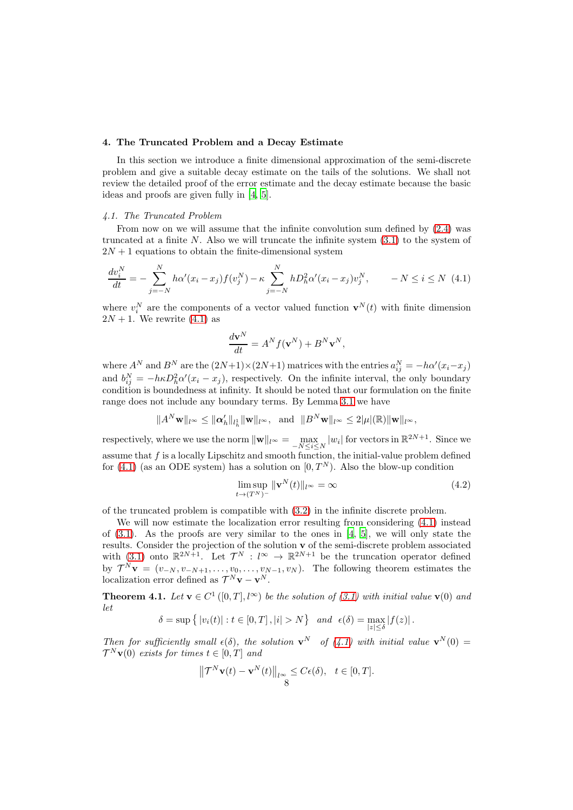#### <span id="page-7-0"></span>4. The Truncated Problem and a Decay Estimate

In this section we introduce a finite dimensional approximation of the semi-discrete problem and give a suitable decay estimate on the tails of the solutions. We shall not review the detailed proof of the error estimate and the decay estimate because the basic ideas and proofs are given fully in [\[4](#page-15-6), [5](#page-15-7)].

## 4.1. The Truncated Problem

From now on we will assume that the infinite convolution sum defined by [\(2.4\)](#page-3-2) was truncated at a finite  $N$ . Also we will truncate the infinite system  $(3.1)$  to the system of  $2N + 1$  equations to obtain the finite-dimensional system

$$
\frac{dv_i^N}{dt} = -\sum_{j=-N}^{N} h\alpha'(x_i - x_j)f(v_j^N) - \kappa \sum_{j=-N}^{N} hD_h^2 \alpha'(x_i - x_j)v_j^N, \qquad -N \le i \le N \tag{4.1}
$$

where  $v_i^N$  are the components of a vector valued function  $\mathbf{v}^N(t)$  with finite dimension  $2N + 1$ . We rewrite [\(4.1\)](#page-7-1) as

<span id="page-7-1"></span>
$$
\frac{d\mathbf{v}^N}{dt} = A^N f(\mathbf{v}^N) + B^N \mathbf{v}^N,
$$

where  $A^N$  and  $B^N$  are the  $(2N+1) \times (2N+1)$  matrices with the entries  $a_{ij}^N = -h\alpha'(x_i-x_j)$ and  $b_{ij}^N = -h\kappa D_h^2 \alpha'(x_i - x_j)$ , respectively. On the infinite interval, the only boundary condition is boundedness at infinity. It should be noted that our formulation on the finite range does not include any boundary terms. By Lemma [3.1](#page-4-4) we have

$$
\|A^N\mathbf{w}\|_{l^{\infty}} \leq \|\boldsymbol{\alpha}_h'\|_{l^1_h} \|\mathbf{w}\|_{l^{\infty}}, \ \text{ and } \ \|B^N\mathbf{w}\|_{l^{\infty}} \leq 2|\mu|(\mathbb{R}) \|\mathbf{w}\|_{l^{\infty}},
$$

respectively, where we use the norm  $\|\mathbf{w}\|_{l^{\infty}} = \max_{-N \leq i \leq N} |w_i|$  for vectors in  $\mathbb{R}^{2N+1}$ . Since we assume that  $f$  is a locally Lipschitz and smooth function, the initial-value problem defined for [\(4.1\)](#page-7-1) (as an ODE system) has a solution on  $[0, T<sup>N</sup>)$ . Also the blow-up condition

$$
\limsup_{t \to (T^N)^-} \|\mathbf{v}^N(t)\|_{l^\infty} = \infty \tag{4.2}
$$

of the truncated problem is compatible with [\(3.2\)](#page-4-5) in the infinite discrete problem.

We will now estimate the localization error resulting from considering [\(4.1\)](#page-7-1) instead of  $(3.1)$ . As the proofs are very similar to the ones in  $[4, 5]$  $[4, 5]$ , we will only state the results. Consider the projection of the solution v of the semi-discrete problem associated with [\(3.1\)](#page-4-1) onto  $\mathbb{R}^{2N+1}$ . Let  $\mathcal{T}^N : l^{\infty} \to \mathbb{R}^{2N+1}$  be the truncation operator defined by  $\mathcal{T}^N \mathbf{v} = (v_{-N}, v_{-N+1}, \ldots, v_0, \ldots, v_{N-1}, v_N)$ . The following theorem estimates the localization error defined as  $\mathcal{T}^N \mathbf{v} - \mathbf{v}^N$ .

**Theorem 4.1.** Let  $\mathbf{v} \in C^1([0,T], l^{\infty})$  be the solution of [\(3.1\)](#page-4-1) with initial value  $\mathbf{v}(0)$  and let

$$
\delta = \sup \left\{ |v_i(t)| : t \in [0, T], |i| > N \right\} \text{ and } \epsilon(\delta) = \max_{|z| \le \delta} |f(z)|.
$$

Then for sufficiently small  $\epsilon(\delta)$ , the solution  $v^N$  of [\(4.1\)](#page-7-1) with initial value  $v^N(0)$  =  $\mathcal{T}^N \mathbf{v}(0)$  exists for times  $t \in [0, T]$  and

$$
\left\|\mathcal{T}^N \mathbf{v}(t) - \mathbf{v}^N(t)\right\|_{l^\infty} \leq C\epsilon(\delta), \quad t \in [0, T].
$$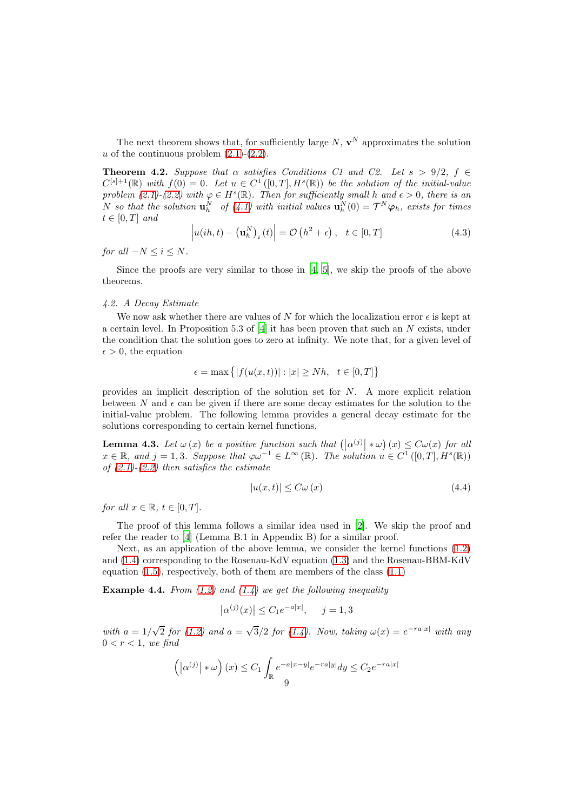The next theorem shows that, for sufficiently large  $N$ ,  $\mathbf{v}^N$  approximates the solution u of the continuous problem  $(2.1)-(2.2)$  $(2.1)-(2.2)$ .

**Theorem 4.2.** Suppose that  $\alpha$  satisfies Conditions C1 and C2. Let  $s > 9/2$ ,  $f \in$  $C^{[s]+1}(\mathbb{R})$  with  $f(0) = 0$ . Let  $u \in C^1([0,T], H^s(\mathbb{R}))$  be the solution of the initial-value problem  $(2.1)-(2.2)$  $(2.1)-(2.2)$  with  $\varphi \in H^s(\mathbb{R})$ . Then for sufficiently small h and  $\epsilon > 0$ , there is an N so that the solution  $\mathbf{u}_h^N$  of [\(4.1\)](#page-7-1) with initial values  $\mathbf{u}_h^N(0) = \mathcal{T}^N \boldsymbol{\varphi}_h$ , exists for times  $t \in [0, T]$  and

$$
\left| u(ih, t) - \left( \mathbf{u}_h^N \right)_i(t) \right| = \mathcal{O} \left( h^2 + \epsilon \right), \quad t \in [0, T] \tag{4.3}
$$

for all  $-N \leq i \leq N$ .

Since the proofs are very similar to those in [\[4](#page-15-6), [5\]](#page-15-7), we skip the proofs of the above theorems.

## 4.2. A Decay Estimate

We now ask whether there are values of N for which the localization error  $\epsilon$  is kept at a certain level. In Proposition 5.3 of  $[4]$  it has been proven that such an N exists, under the condition that the solution goes to zero at infinity. We note that, for a given level of  $\epsilon > 0$ , the equation

$$
\epsilon = \max \left\{ |f(u(x,t))| : |x| \geq Nh, \ \ t\in [0,T] \right\}
$$

provides an implicit description of the solution set for  $N$ . A more explicit relation between N and  $\epsilon$  can be given if there are some decay estimates for the solution to the initial-value problem. The following lemma provides a general decay estimate for the solutions corresponding to certain kernel functions.

<span id="page-8-0"></span>**Lemma 4.3.** Let  $\omega(x)$  be a positive function such that  $(|\alpha^{(j)}| * \omega)(x) \leq C\omega(x)$  for all  $x \in \mathbb{R}$ , and  $j = 1, 3$ . Suppose that  $\varphi \omega^{-1} \in L^{\infty}(\mathbb{R})$ . The solution  $u \in C^{1}([0, T], H^{s}(\mathbb{R}))$ of  $(2.1)-(2.2)$  $(2.1)-(2.2)$  then satisfies the estimate

$$
|u(x,t)| \leq C\omega(x) \tag{4.4}
$$

for all  $x \in \mathbb{R}$ ,  $t \in [0, T]$ .

The proof of this lemma follows a similar idea used in [\[2](#page-15-4)]. We skip the proof and refer the reader to [\[4\]](#page-15-6) (Lemma B.1 in Appendix B) for a similar proof.

Next, as an application of the above lemma, we consider the kernel functions [\(1.2\)](#page-1-0) and [\(1.4\)](#page-1-1) corresponding to the Rosenau-KdV equation [\(1.3\)](#page-1-2) and the Rosenau-BBM-KdV equation  $(1.5)$ , respectively, both of them are members of the class  $(1.1)$ 

<span id="page-8-1"></span>**Example 4.4.** From  $(1.2)$  and  $(1.4)$  we get the following inequality

$$
|\alpha^{(j)}(x)| \le C_1 e^{-a|x|}, \quad j = 1, 3
$$

with  $a = 1/\sqrt{2}$  for [\(1.2\)](#page-1-0) and  $a = \sqrt{3}/2$  for [\(1.4\)](#page-1-1). Now, taking  $\omega(x) = e^{-ra|x|}$  with any  $0 < r < 1$ , we find

$$
\left( \left| \alpha^{(j)} \right| * \omega \right) (x) \leq C_1 \int_{\mathbb{R}} e^{-a|x-y|} e^{-ra|y|} dy \leq C_2 e^{-ra|x|}
$$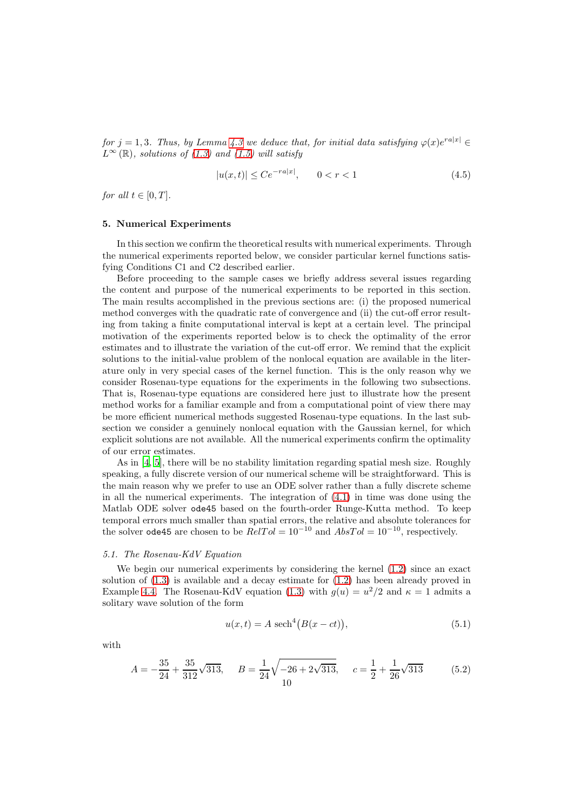for  $j = 1, 3$ . Thus, by Lemma [4.3](#page-8-0) we deduce that, for initial data satisfying  $\varphi(x)e^{ra|x|} \in$  $L^{\infty}(\mathbb{R})$ , solutions of [\(1.3\)](#page-1-2) and [\(1.5\)](#page-1-3) will satisfy

<span id="page-9-3"></span>
$$
|u(x,t)| \le Ce^{-ra|x|}, \qquad 0 < r < 1 \tag{4.5}
$$

for all  $t \in [0, T]$ .

#### <span id="page-9-0"></span>5. Numerical Experiments

In this section we confirm the theoretical results with numerical experiments. Through the numerical experiments reported below, we consider particular kernel functions satisfying Conditions C1 and C2 described earlier.

Before proceeding to the sample cases we briefly address several issues regarding the content and purpose of the numerical experiments to be reported in this section. The main results accomplished in the previous sections are: (i) the proposed numerical method converges with the quadratic rate of convergence and (ii) the cut-off error resulting from taking a finite computational interval is kept at a certain level. The principal motivation of the experiments reported below is to check the optimality of the error estimates and to illustrate the variation of the cut-off error. We remind that the explicit solutions to the initial-value problem of the nonlocal equation are available in the literature only in very special cases of the kernel function. This is the only reason why we consider Rosenau-type equations for the experiments in the following two subsections. That is, Rosenau-type equations are considered here just to illustrate how the present method works for a familiar example and from a computational point of view there may be more efficient numerical methods suggested Rosenau-type equations. In the last subsection we consider a genuinely nonlocal equation with the Gaussian kernel, for which explicit solutions are not available. All the numerical experiments confirm the optimality of our error estimates.

As in [\[4,](#page-15-6) [5\]](#page-15-7), there will be no stability limitation regarding spatial mesh size. Roughly speaking, a fully discrete version of our numerical scheme will be straightforward. This is the main reason why we prefer to use an ODE solver rather than a fully discrete scheme in all the numerical experiments. The integration of [\(4.1\)](#page-7-1) in time was done using the Matlab ODE solver ode45 based on the fourth-order Runge-Kutta method. To keep temporal errors much smaller than spatial errors, the relative and absolute tolerances for the solver ode45 are chosen to be  $RelTol = 10^{-10}$  and  $AbsTol = 10^{-10}$ , respectively.

## 5.1. The Rosenau-KdV Equation

We begin our numerical experiments by considering the kernel [\(1.2\)](#page-1-0) since an exact solution of  $(1.3)$  is available and a decay estimate for  $(1.2)$  has been already proved in Example [4.4.](#page-8-1) The Rosenau-KdV equation [\(1.3\)](#page-1-2) with  $g(u) = u^2/2$  and  $\kappa = 1$  admits a solitary wave solution of the form

<span id="page-9-1"></span>
$$
u(x,t) = A \operatorname{sech}^4(B(x-ct)), \tag{5.1}
$$

with

<span id="page-9-2"></span>
$$
A = -\frac{35}{24} + \frac{35}{312}\sqrt{313}, \qquad B = \frac{1}{24}\sqrt{-26 + 2\sqrt{313}}, \qquad c = \frac{1}{2} + \frac{1}{26}\sqrt{313} \tag{5.2}
$$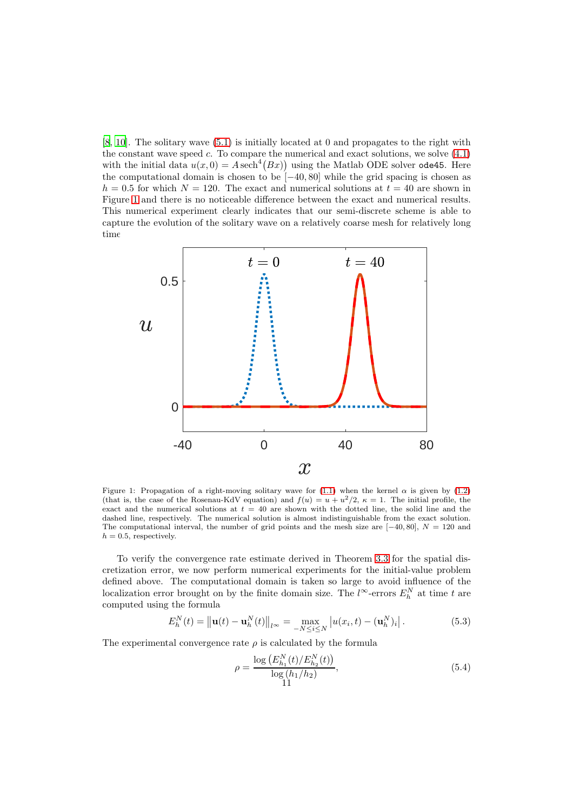[\[8](#page-15-1), [10](#page-15-9)]. The solitary wave [\(5.1\)](#page-9-1) is initially located at 0 and propagates to the right with the constant wave speed c. To compare the numerical and exact solutions, we solve  $(4.1)$ with the initial data  $u(x,0) = A \text{ sech}^4(Bx)$  using the Matlab ODE solver ode45. Here the computational domain is chosen to be  $[-40, 80]$  while the grid spacing is chosen as  $h = 0.5$  for which  $N = 120$ . The exact and numerical solutions at  $t = 40$  are shown in Figure [1](#page-10-0) and there is no noticeable difference between the exact and numerical results. This numerical experiment clearly indicates that our semi-discrete scheme is able to capture the evolution of the solitary wave on a relatively coarse mesh for relatively long time



<span id="page-10-0"></span>Figure 1: Propagation of a right-moving solitary wave for [\(1.1\)](#page-0-0) when the kernel  $\alpha$  is given by [\(1.2\)](#page-1-0) (that is, the case of the Rosenau-KdV equation) and  $f(u) = u + u^2/2$ ,  $\kappa = 1$ . The initial profile, the exact and the numerical solutions at  $t = 40$  are shown with the dotted line, the solid line and the dashed line, respectively. The numerical solution is almost indistinguishable from the exact solution. The computational interval, the number of grid points and the mesh size are  $[-40, 80]$ ,  $N = 120$  and  $h = 0.5$ , respectively.

To verify the convergence rate estimate derived in Theorem [3.3](#page-5-2) for the spatial discretization error, we now perform numerical experiments for the initial-value problem defined above. The computational domain is taken so large to avoid influence of the localization error brought on by the finite domain size. The  $l^{\infty}$ -errors  $E_h^N$  at time t are computed using the formula

$$
E_h^N(t) = ||\mathbf{u}(t) - \mathbf{u}_h^N(t)||_{l^{\infty}} = \max_{-N \le i \le N} |u(x_i, t) - (\mathbf{u}_h^N)_i|.
$$
 (5.3)

The experimental convergence rate  $\rho$  is calculated by the formula

<span id="page-10-1"></span>
$$
\rho = \frac{\log (E_{h_1}^N(t)/E_{h_2}^N(t))}{\log (h_1/h_2)},
$$
\n(5.4)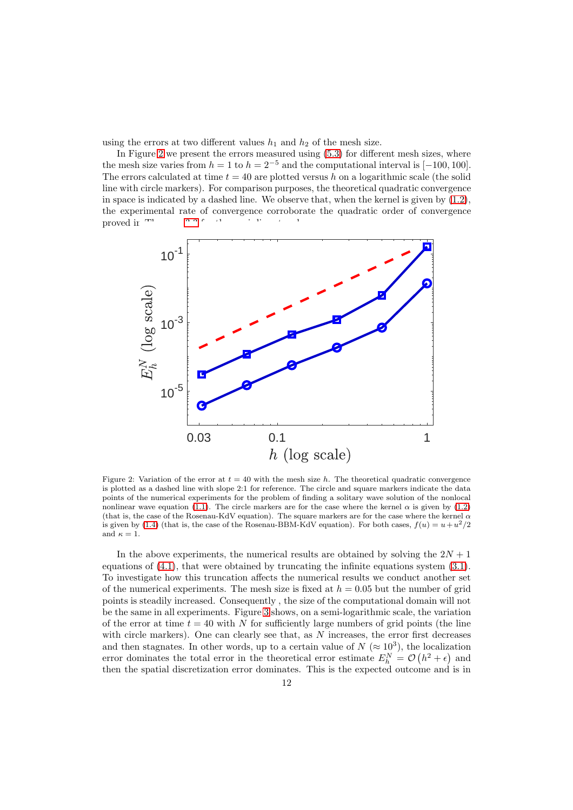using the errors at two different values  $h_1$  and  $h_2$  of the mesh size.

In Figure [2](#page-11-0) we present the errors measured using [\(5.3\)](#page-10-1) for different mesh sizes, where the mesh size varies from  $h = 1$  to  $h = 2^{-5}$  and the computational interval is [−100, 100]. The errors calculated at time  $t = 40$  are plotted versus h on a logarithmic scale (the solid line with circle markers). For comparison purposes, the theoretical quadratic convergence in space is indicated by a dashed line. We observe that, when the kernel is given by  $(1.2)$ , the experimental rate of convergence corroborate the quadratic order of convergence proved in  $\mathbb{R}^n$  semi-discrete semi-discrete scheme . The semi-discrete scheme . The semi-discrete scheme . The semi-discrete scheme . The semi-discrete scheme . The semi-discrete scheme . The semi-discrete scheme . T



<span id="page-11-0"></span>Figure 2: Variation of the error at  $t = 40$  with the mesh size h. The theoretical quadratic convergence is plotted as a dashed line with slope 2:1 for reference. The circle and square markers indicate the data points of the numerical experiments for the problem of finding a solitary wave solution of the nonlocal nonlinear wave equation [\(1.1\)](#page-0-0). The circle markers are for the case where the kernel  $\alpha$  is given by [\(1.2\)](#page-1-0) (that is, the case of the Rosenau-KdV equation). The square markers are for the case where the kernel  $\alpha$ is given by [\(1.4\)](#page-1-1) (that is, the case of the Rosenau-BBM-KdV equation). For both cases,  $f(u) = u + u^2/2$ and  $\kappa = 1$ .

In the above experiments, the numerical results are obtained by solving the  $2N + 1$ equations of [\(4.1\)](#page-7-1), that were obtained by truncating the infinite equations system [\(3.1\)](#page-4-1). To investigate how this truncation affects the numerical results we conduct another set of the numerical experiments. The mesh size is fixed at  $h = 0.05$  but the number of grid points is steadily increased. Consequently , the size of the computational domain will not be the same in all experiments. Figure [3](#page-12-0) shows, on a semi-logarithmic scale, the variation of the error at time  $t = 40$  with N for sufficiently large numbers of grid points (the line with circle markers). One can clearly see that, as  $N$  increases, the error first decreases and then stagnates. In other words, up to a certain value of  $N \approx 10^3$ , the localization error dominates the total error in the theoretical error estimate  $E_h^N = \mathcal{O}(h^2 + \epsilon)$  and then the spatial discretization error dominates. This is the expected outcome and is in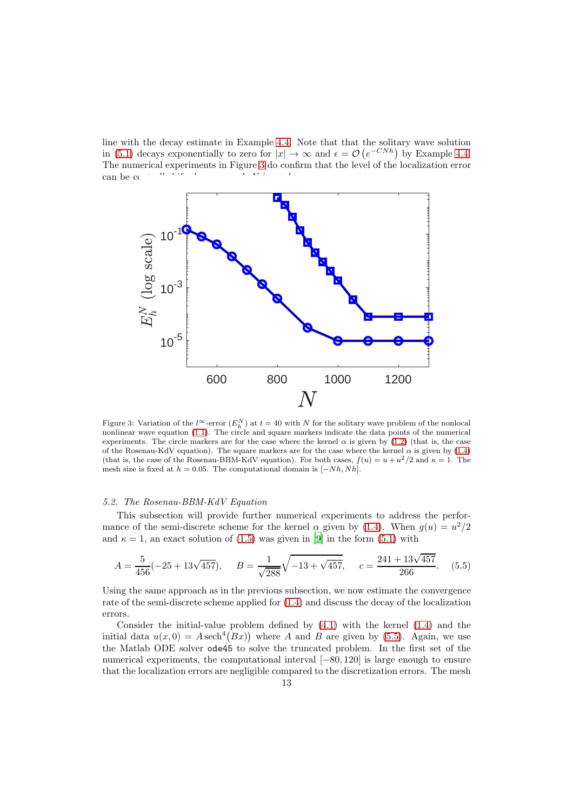line with the decay estimate in Example [4.4.](#page-8-1) Note that that the solitary wave solution in [\(5.1\)](#page-9-1) decays exponentially to zero for  $|x| \to \infty$  and  $\epsilon = \mathcal{O}(e^{-CNh})$  by Example [4.4.](#page-8-1) The numerical experiments in Figure [3](#page-12-0) do confirm that the level of the localization error can be  $\alpha$  is used.



<span id="page-12-0"></span>Figure 3: Variation of the l<sup>∞</sup>-error  $(E_h^N)$  at  $t = 40$  with N for the solitary wave problem of the nonlocal nonlinear wave equation [\(1.1\)](#page-0-0). The circle and square markers indicate the data points of the numerical experiments. The circle markers are for the case where the kernel  $\alpha$  is given by [\(1.2\)](#page-1-0) (that is, the case of the Rosenau-KdV equation). The square markers are for the case where the kernel  $\alpha$  is given by [\(1.4\)](#page-1-1) (that is, the case of the Rosenau-BBM-KdV equation). For both cases,  $f(u) = u + u^2/2$  and  $\kappa = 1$ . The mesh size is fixed at  $h = 0.05$ . The computational domain is  $[-Nh, Nh]$ .

#### 5.2. The Rosenau-BBM-KdV Equation

This subsection will provide further numerical experiments to address the performance of the semi-discrete scheme for the kernel  $\alpha$  given by [\(1.4\)](#page-1-1). When  $g(u) = u^2/2$ and  $\kappa = 1$ , an exact solution of [\(1.5\)](#page-1-3) was given in [\[9](#page-15-3)] in the form [\(5.1\)](#page-9-1) with

<span id="page-12-1"></span>
$$
A = \frac{5}{456}(-25 + 13\sqrt{457}), \qquad B = \frac{1}{\sqrt{288}}\sqrt{-13 + \sqrt{457}}, \qquad c = \frac{241 + 13\sqrt{457}}{266}.\tag{5.5}
$$

Using the same approach as in the previous subsection, we now estimate the convergence rate of the semi-discrete scheme applied for [\(1.4\)](#page-1-1) and discuss the decay of the localization errors.

Consider the initial-value problem defined by [\(4.1\)](#page-7-1) with the kernel [\(1.4\)](#page-1-1) and the initial data  $u(x, 0) = A \text{sech}^4(Bx)$  where A and B are given by [\(5.5\)](#page-12-1). Again, we use the Matlab ODE solver ode45 to solve the truncated problem. In the first set of the numerical experiments, the computational interval [−80, 120] is large enough to ensure that the localization errors are negligible compared to the discretization errors. The mesh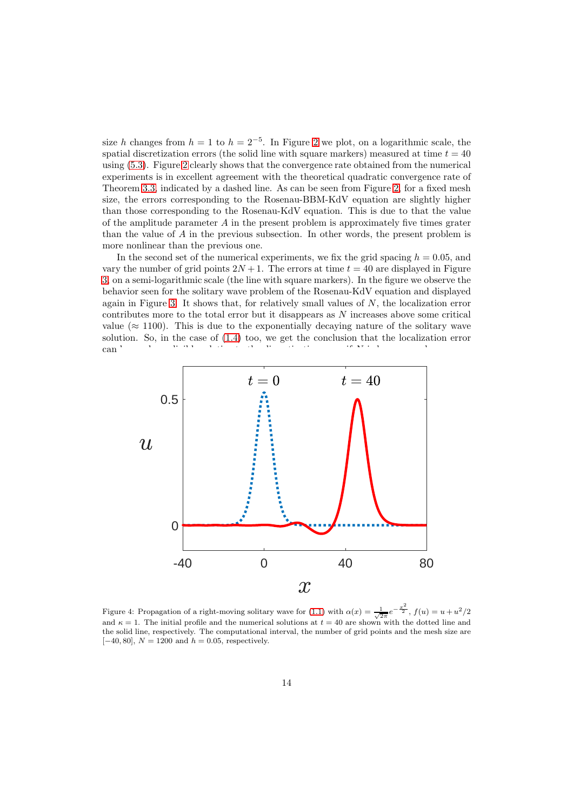size h changes from  $h = 1$  to  $h = 2^{-5}$  $h = 2^{-5}$  $h = 2^{-5}$ . In Figure 2 we plot, on a logarithmic scale, the spatial discretization errors (the solid line with square markers) measured at time  $t = 40$ using [\(5.3\)](#page-10-1). Figure [2](#page-11-0) clearly shows that the convergence rate obtained from the numerical experiments is in excellent agreement with the theoretical quadratic convergence rate of Theorem [3.3,](#page-5-2) indicated by a dashed line. As can be seen from Figure [2,](#page-11-0) for a fixed mesh size, the errors corresponding to the Rosenau-BBM-KdV equation are slightly higher than those corresponding to the Rosenau-KdV equation. This is due to that the value of the amplitude parameter  $A$  in the present problem is approximately five times grater than the value of A in the previous subsection. In other words, the present problem is more nonlinear than the previous one.

In the second set of the numerical experiments, we fix the grid spacing  $h = 0.05$ , and vary the number of grid points  $2N + 1$ . The errors at time  $t = 40$  are displayed in Figure [3,](#page-12-0) on a semi-logarithmic scale (the line with square markers). In the figure we observe the behavior seen for the solitary wave problem of the Rosenau-KdV equation and displayed again in Figure [3.](#page-12-0) It shows that, for relatively small values of  $N$ , the localization error contributes more to the total error but it disappears as  $N$  increases above some critical value ( $\approx$  1100). This is due to the exponentially decaying nature of the solitary wave solution. So, in the case of [\(1.4\)](#page-1-1) too, we get the conclusion that the localization error  $can$  be made negligible relative to the discretization error if  $\sim$ 



<span id="page-13-0"></span>Figure 4: Propagation of a right-moving solitary wave for [\(1.1\)](#page-0-0) with  $\alpha(x) = \frac{1}{\sqrt{2\pi}}$ e  $-\frac{x^2}{2}$  $\frac{e^2}{2}$ ,  $f(u) = u + u^2/2$ and  $\kappa = 1$ . The initial profile and the numerical solutions at  $t = 40$  are shown with the dotted line and the solid line, respectively. The computational interval, the number of grid points and the mesh size are [−40, 80],  $N = 1200$  and  $h = 0.05$ , respectively.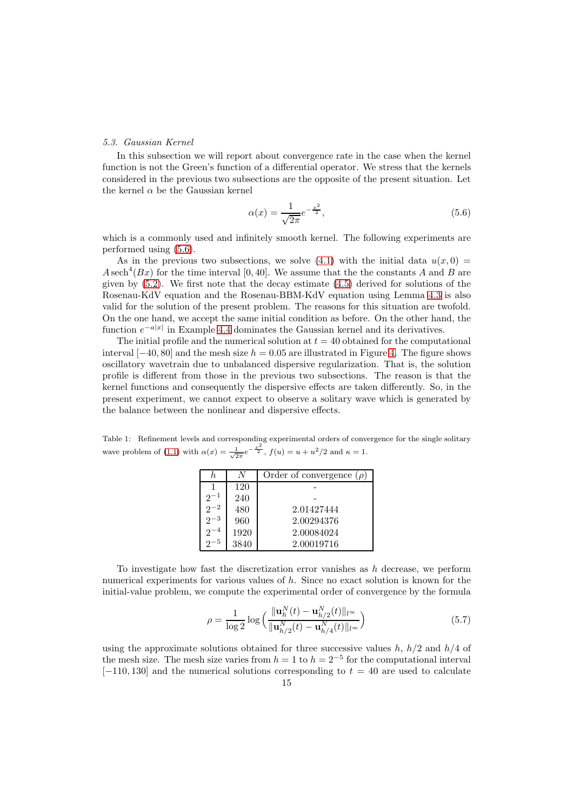#### 5.3. Gaussian Kernel

In this subsection we will report about convergence rate in the case when the kernel function is not the Green's function of a differential operator. We stress that the kernels considered in the previous two subsections are the opposite of the present situation. Let the kernel $\alpha$  be the Gaussian kernel

<span id="page-14-0"></span>
$$
\alpha(x) = \frac{1}{\sqrt{2\pi}} e^{-\frac{x^2}{2}},\tag{5.6}
$$

which is a commonly used and infinitely smooth kernel. The following experiments are performed using [\(5.6\)](#page-14-0).

As in the previous two subsections, we solve [\(4.1\)](#page-7-1) with the initial data  $u(x, 0)$  = A sech<sup>4</sup>( $Bx$ ) for the time interval [0, 40]. We assume that the the constants A and B are given by  $(5.2)$ . We first note that the decay estimate  $(4.5)$  derived for solutions of the Rosenau-KdV equation and the Rosenau-BBM-KdV equation using Lemma [4.3](#page-8-0) is also valid for the solution of the present problem. The reasons for this situation are twofold. On the one hand, we accept the same initial condition as before. On the other hand, the function  $e^{-a|x|}$  in Example [4.4](#page-8-1) dominates the Gaussian kernel and its derivatives.

The initial profile and the numerical solution at  $t = 40$  obtained for the computational interval  $[-40, 80]$  and the mesh size  $h = 0.05$  are illustrated in Figure [4.](#page-13-0) The figure shows oscillatory wavetrain due to unbalanced dispersive regularization. That is, the solution profile is different from those in the previous two subsections. The reason is that the kernel functions and consequently the dispersive effects are taken differently. So, in the present experiment, we cannot expect to observe a solitary wave which is generated by the balance between the nonlinear and dispersive effects.

<span id="page-14-1"></span>Table 1: Refinement levels and corresponding experimental orders of convergence for the single solitary wave problem of [\(1.1\)](#page-0-0) with  $\alpha(x) = \frac{1}{\sqrt{2\pi}}e^{-\frac{x^2}{2}}$ ,  $f(u) = u + u^2/2$  and  $\kappa = 1$ .

| h.       |      | Order of convergence $(\rho)$ |
|----------|------|-------------------------------|
|          | 120  |                               |
|          | 240  |                               |
| $2^{-2}$ | 480  | 2.01427444                    |
| $2^{-3}$ | 960  | 2.00294376                    |
| $2^{-4}$ | 1920 | 2.00084024                    |
| $2^{-5}$ |      | 2.00019716                    |

To investigate how fast the discretization error vanishes as  $h$  decrease, we perform numerical experiments for various values of  $h$ . Since no exact solution is known for the initial-value problem, we compute the experimental order of convergence by the formula

$$
\rho = \frac{1}{\log 2} \log \left( \frac{\|\mathbf{u}_h^N(t) - \mathbf{u}_{h/2}^N(t)\|_{l^\infty}}{\|\mathbf{u}_{h/2}^N(t) - \mathbf{u}_{h/4}^N(t)\|_{l^\infty}} \right) \tag{5.7}
$$

using the approximate solutions obtained for three successive values h,  $h/2$  and  $h/4$  of the mesh size. The mesh size varies from  $h = 1$  to  $h = 2^{-5}$  for the computational interval  $[-110, 130]$  and the numerical solutions corresponding to  $t = 40$  are used to calculate